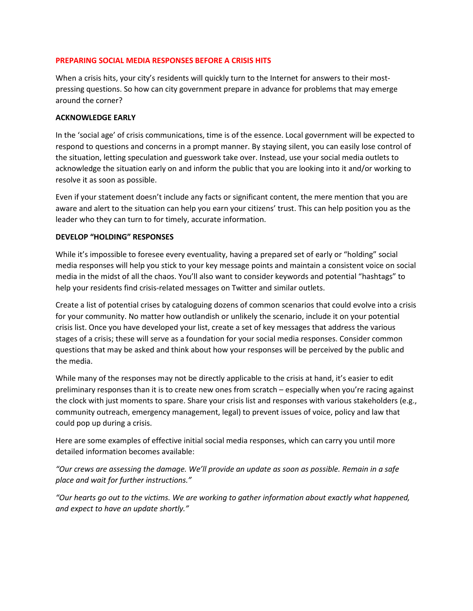## **PREPARING SOCIAL MEDIA RESPONSES BEFORE A CRISIS HITS**

When a crisis hits, your city's residents will quickly turn to the Internet for answers to their mostpressing questions. So how can city government prepare in advance for problems that may emerge around the corner?

## **ACKNOWLEDGE EARLY**

In the 'social age' of crisis communications, time is of the essence. Local government will be expected to respond to questions and concerns in a prompt manner. By staying silent, you can easily lose control of the situation, letting speculation and guesswork take over. Instead, use your social media outlets to acknowledge the situation early on and inform the public that you are looking into it and/or working to resolve it as soon as possible.

Even if your statement doesn't include any facts or significant content, the mere mention that you are aware and alert to the situation can help you earn your citizens' trust. This can help position you as the leader who they can turn to for timely, accurate information.

## **DEVELOP "HOLDING" RESPONSES**

While it's impossible to foresee every eventuality, having a prepared set of early or "holding" social media responses will help you stick to your key message points and maintain a consistent voice on social media in the midst of all the chaos. You'll also want to consider keywords and potential "hashtags" to help your residents find crisis-related messages on Twitter and similar outlets.

Create a list of potential crises by cataloguing dozens of common scenarios that could evolve into a crisis for your community. No matter how outlandish or unlikely the scenario, include it on your potential crisis list. Once you have developed your list, create a set of key messages that address the various stages of a crisis; these will serve as a foundation for your social media responses. Consider common questions that may be asked and think about how your responses will be perceived by the public and the media.

While many of the responses may not be directly applicable to the crisis at hand, it's easier to edit preliminary responses than it is to create new ones from scratch – especially when you're racing against the clock with just moments to spare. Share your crisis list and responses with various stakeholders (e.g., community outreach, emergency management, legal) to prevent issues of voice, policy and law that could pop up during a crisis.

Here are some examples of effective initial social media responses, which can carry you until more detailed information becomes available:

*"Our crews are assessing the damage. We'll provide an update as soon as possible. Remain in a safe place and wait for further instructions."*

*"Our hearts go out to the victims. We are working to gather information about exactly what happened, and expect to have an update shortly."*